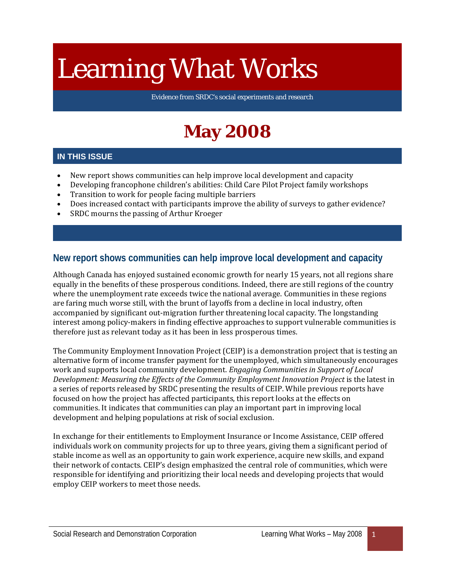# Learning What Works

Evidence from SRDC's social experiments and research

# **May 2008**

#### **IN THIS ISSUE**

- New report shows communities can help improve local development and capacity
- Developing francophone children's abilities: Child Care Pilot Project family workshops
- Transition to work for people facing multiple barriers
- Does increased contact with participants improve the ability of surveys to gather evidence?
- SRDC mourns the passing of Arthur Kroeger

#### **New report shows communities can help improve local development and capacity**

Although Canada has enjoyed sustained economic growth for nearly 15 years, not all regions share equally in the benefits of these prosperous conditions. Indeed, there are still regions of the country where the unemployment rate exceeds twice the national average. Communities in these regions are faring much worse still, with the brunt of layoffs from a decline in local industry, often accompanied by significant out-migration further threatening local capacity. The longstanding interest among policy-makers in finding effective approaches to support vulnerable communities is therefore just as relevant today as it has been in less prosperous times.

The Community Employment Innovation Project (CEIP) is a demonstration project that is testing an alternative form of income transfer payment for the unemployed, which simultaneously encourages work and supports local community development. *Engaging Communities in Support of Local Development: Measuring the Effects of the Community Employment Innovation Project* is the latest in a series of reports released by SRDC presenting the results of CEIP. While previous reports have focused on how the project has affected participants, this report looks at the effects on communities. It indicates that communities can play an important part in improving local development and helping populations at risk of social exclusion.

In exchange for their entitlements to Employment Insurance or Income Assistance, CEIP offered individuals work on community projects for up to three years, giving them a significant period of stable income as well as an opportunity to gain work experience, acquire new skills, and expand their network of contacts. CEIP's design emphasized the central role of communities, which were responsible for identifying and prioritizing their local needs and developing projects that would employ CEIP workers to meet those needs.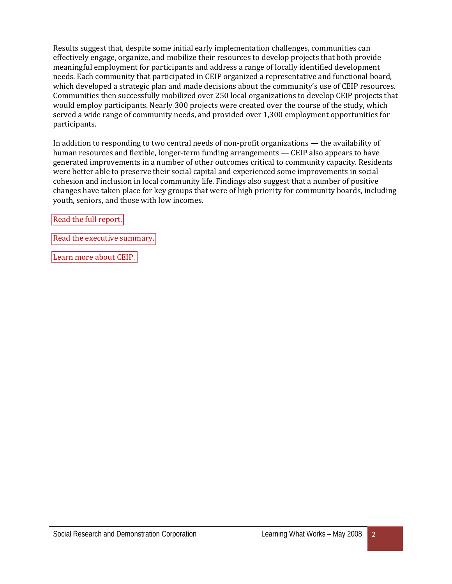Results suggest that, despite some initial early implementation challenges, communities can effectively engage, organize, and mobilize their resources to develop projects that both provide meaningful employment for participants and address a range of locally identified development needs. Each community that participated in CEIP organized a representative and functional board, which developed a strategic plan and made decisions about the community's use of CEIP resources. Communities then successfully mobilized over 250 local organizations to develop CEIP projects that would employ participants. Nearly 300 projects were created over the course of the study, which served a wide range of community needs, and provided over 1,300 employment opportunities for participants.

In addition to responding to two central needs of non-profit organizations — the availability of human resources and flexible, longer-term funding arrangements — CEIP also appears to have generated improvements in a number of other outcomes critical to community capacity. Residents were better able to preserve their social capital and experienced some improvements in social cohesion and inclusion in local community life. Findings also suggest that a number of positive changes have taken place for key groups that were of high priority for community boards, including youth, seniors, and those with low incomes.

[Read the full report.](http://www.srdc.org/uploads/CEIP_CER_EN.pdf) 

[Read the executive summary.](http://www.srdc.org/uploads/CEIP_CER_ES_EN.pdf) 

[Learn more about CEIP.](http://www.srdc.org/en_what_we_do.asp?id=905)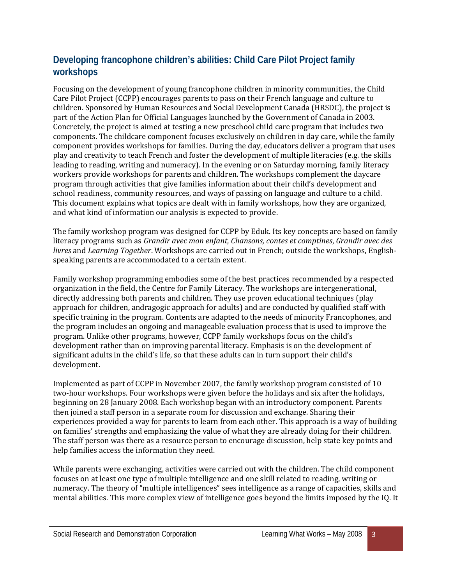### **Developing francophone children's abilities: Child Care Pilot Project family workshops**

Focusing on the development of young francophone children in minority communities, the Child Care Pilot Project (CCPP) encourages parents to pass on their French language and culture to children. Sponsored by Human Resources and Social Development Canada (HRSDC), the project is part of the Action Plan for Official Languages launched by the Government of Canada in 2003. Concretely, the project is aimed at testing a new preschool child care program that includes two components. The childcare component focuses exclusively on children in day care, while the family component provides workshops for families. During the day, educators deliver a program that uses play and creativity to teach French and foster the development of multiple literacies (e.g. the skills leading to reading, writing and numeracy). In the evening or on Saturday morning, family literacy workers provide workshops for parents and children. The workshops complement the daycare program through activities that give families information about their child's development and school readiness, community resources, and ways of passing on language and culture to a child. This document explains what topics are dealt with in family workshops, how they are organized, and what kind of information our analysis is expected to provide.

The family workshop program was designed for CCPP by Eduk. Its key concepts are based on family literacy programs such as *Grandir avec mon enfant*, *Chansons, contes et comptines*, *Grandir avec des livres* and *Learning Together*. Workshops are carried out in French; outside the workshops, Englishspeaking parents are accommodated to a certain extent.

Family workshop programming embodies some of the best practices recommended by a respected organization in the field, the Centre for Family Literacy. The workshops are intergenerational, directly addressing both parents and children. They use proven educational techniques (play approach for children, andragogic approach for adults) and are conducted by qualified staff with specific training in the program. Contents are adapted to the needs of minority Francophones, and the program includes an ongoing and manageable evaluation process that is used to improve the program. Unlike other programs, however, CCPP family workshops focus on the child's development rather than on improving parental literacy. Emphasis is on the development of significant adults in the child's life, so that these adults can in turn support their child's development.

Implemented as part of CCPP in November 2007, the family workshop program consisted of 10 two-hour workshops. Four workshops were given before the holidays and six after the holidays, beginning on 28 January 2008. Each workshop began with an introductory component. Parents then joined a staff person in a separate room for discussion and exchange. Sharing their experiences provided a way for parents to learn from each other. This approach is a way of building on families' strengths and emphasizing the value of what they are already doing for their children. The staff person was there as a resource person to encourage discussion, help state key points and help families access the information they need.

While parents were exchanging, activities were carried out with the children. The child component focuses on at least one type of multiple intelligence and one skill related to reading, writing or numeracy. The theory of "multiple intelligences" sees intelligence as a range of capacities, skills and mental abilities. This more complex view of intelligence goes beyond the limits imposed by the IQ. It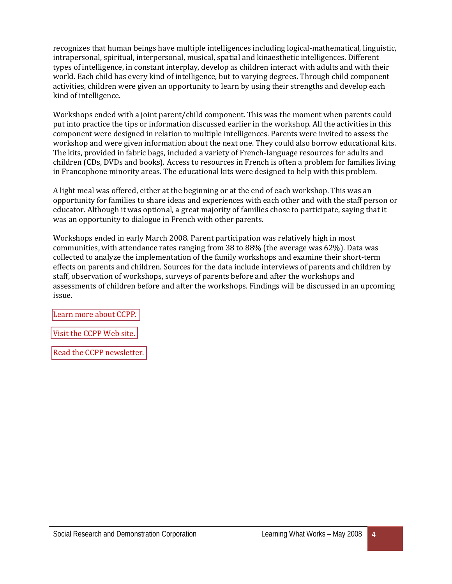recognizes that human beings have multiple intelligences including logical-mathematical, linguistic, intrapersonal, spiritual, interpersonal, musical, spatial and kinaesthetic intelligences. Different types of intelligence, in constant interplay, develop as children interact with adults and with their world. Each child has every kind of intelligence, but to varying degrees. Through child component activities, children were given an opportunity to learn by using their strengths and develop each kind of intelligence.

Workshops ended with a joint parent/child component. This was the moment when parents could put into practice the tips or information discussed earlier in the workshop. All the activities in this component were designed in relation to multiple intelligences. Parents were invited to assess the workshop and were given information about the next one. They could also borrow educational kits. The kits, provided in fabric bags, included a variety of French-language resources for adults and children (CDs, DVDs and books). Access to resources in French is often a problem for families living in Francophone minority areas. The educational kits were designed to help with this problem.

A light meal was offered, either at the beginning or at the end of each workshop. This was an opportunity for families to share ideas and experiences with each other and with the staff person or educator. Although it was optional, a great majority of families chose to participate, saying that it was an opportunity to dialogue in French with other parents.

Workshops ended in early March 2008. Parent participation was relatively high in most communities, with attendance rates ranging from 38 to 88% (the average was 62%). Data was collected to analyze the implementation of the family workshops and examine their short-term effects on parents and children. Sources for the data include interviews of parents and children by staff, observation of workshops, surveys of parents before and after the workshops and assessments of children before and after the workshops. Findings will be discussed in an upcoming issue.

[Learn more about CCPP.](http://www.srdc.org/en_what_we_do.asp?id=25116) 

[Visit the CCPP Web site.](http://www.srdc.org/ppge/) 

[Read the CCPP newsletter.](http://www.srdc.org/ppge/en_articles.asp?categoryId=521)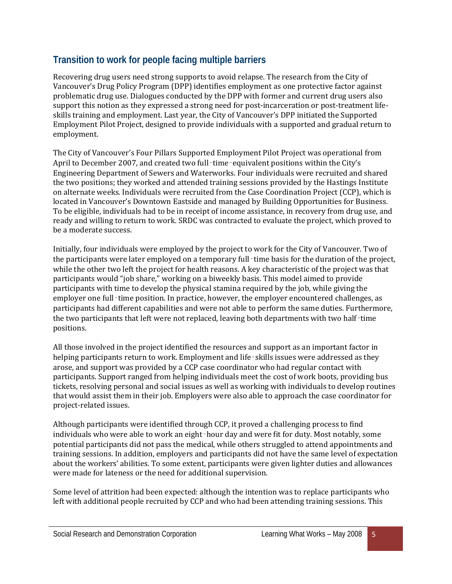## **Transition to work for people facing multiple barriers**

Recovering drug users need strong supports to avoid relapse. The research from the City of Vancouver's Drug Policy Program (DPP) identifies employment as one protective factor against problematic drug use. Dialogues conducted by the DPP with former and current drug users also support this notion as they expressed a strong need for post-incarceration or post-treatment lifeskills training and employment. Last year, the City of Vancouver's DPP initiated the Supported Employment Pilot Project, designed to provide individuals with a supported and gradual return to employment.

The City of Vancouver's Four Pillars Supported Employment Pilot Project was operational from April to December 2007, and created two full-time-equivalent positions within the City's Engineering Department of Sewers and Waterworks. Four individuals were recruited and shared the two positions; they worked and attended training sessions provided by the Hastings Institute on alternate weeks. Individuals were recruited from the Case Coordination Project (CCP), which is located in Vancouver's Downtown Eastside and managed by Building Opportunities for Business. To be eligible, individuals had to be in receipt of income assistance, in recovery from drug use, and ready and willing to return to work. SRDC was contracted to evaluate the project, which proved to be a moderate success.

Initially, four individuals were employed by the project to work for the City of Vancouver. Two of the participants were later employed on a temporary full-time basis for the duration of the project, while the other two left the project for health reasons. A key characteristic of the project was that participants would "job share," working on a biweekly basis. This model aimed to provide participants with time to develop the physical stamina required by the job, while giving the employer one full-time position. In practice, however, the employer encountered challenges, as participants had different capabilities and were not able to perform the same duties. Furthermore, the two participants that left were not replaced, leaving both departments with two half-time positions.

All those involved in the project identified the resources and support as an important factor in helping participants return to work. Employment and life-skills issues were addressed as they arose, and support was provided by a CCP case coordinator who had regular contact with participants. Support ranged from helping individuals meet the cost of work boots, providing bus tickets, resolving personal and social issues as well as working with individuals to develop routines that would assist them in their job. Employers were also able to approach the case coordinator for project-related issues.

Although participants were identified through CCP, it proved a challenging process to find individuals who were able to work an eight-hour day and were fit for duty. Most notably, some potential participants did not pass the medical, while others struggled to attend appointments and training sessions. In addition, employers and participants did not have the same level of expectation about the workers' abilities. To some extent, participants were given lighter duties and allowances were made for lateness or the need for additional supervision.

Some level of attrition had been expected: although the intention was to replace participants who left with additional people recruited by CCP and who had been attending training sessions. This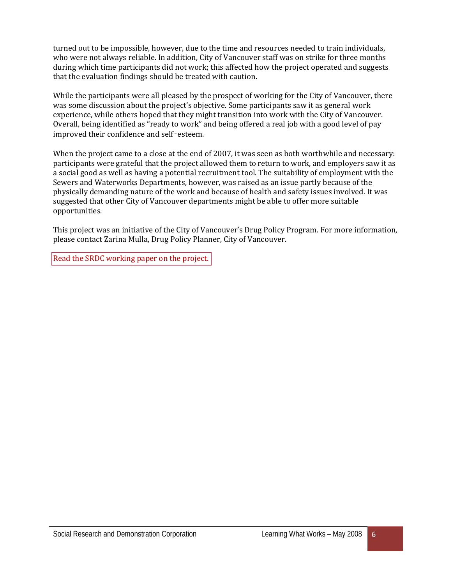turned out to be impossible, however, due to the time and resources needed to train individuals, who were not always reliable. In addition, City of Vancouver staff was on strike for three months during which time participants did not work; this affected how the project operated and suggests that the evaluation findings should be treated with caution.

While the participants were all pleased by the prospect of working for the City of Vancouver, there was some discussion about the project's objective. Some participants saw it as general work experience, while others hoped that they might transition into work with the City of Vancouver. Overall, being identified as "ready to work" and being offered a real job with a good level of pay improved their confidence and self‑esteem.

When the project came to a close at the end of 2007, it was seen as both worthwhile and necessary: participants were grateful that the project allowed them to return to work, and employers saw it as a social good as well as having a potential recruitment tool. The suitability of employment with the Sewers and Waterworks Departments, however, was raised as an issue partly because of the physically demanding nature of the work and because of health and safety issues involved. It was suggested that other City of Vancouver departments might be able to offer more suitable opportunities.

This project was an initiative of the City of Vancouver's Drug Policy Program. For more information, please contact Zarina Mulla, Drug Policy Planner, City of Vancouver.

[Read the SRDC working paper on the project.](http://www.srdc.org/uploads/city_vancouver_four_pillars.pdf)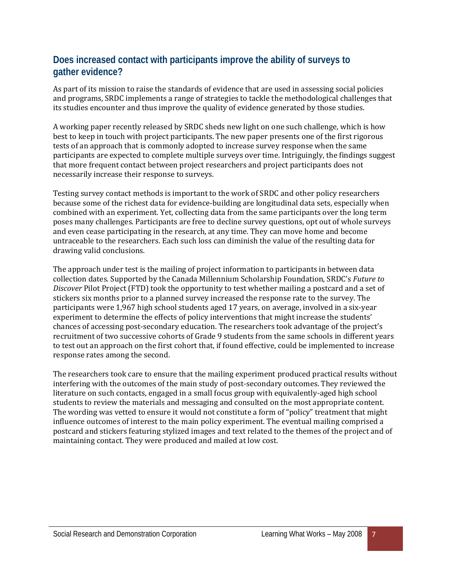#### **Does increased contact with participants improve the ability of surveys to gather evidence?**

As part of its mission to raise the standards of evidence that are used in assessing social policies and programs, SRDC implements a range of strategies to tackle the methodological challenges that its studies encounter and thus improve the quality of evidence generated by those studies.

A working paper recently released by SRDC sheds new light on one such challenge, which is how best to keep in touch with project participants. The new paper presents one of the first rigorous tests of an approach that is commonly adopted to increase survey response when the same participants are expected to complete multiple surveys over time. Intriguingly, the findings suggest that more frequent contact between project researchers and project participants does not necessarily increase their response to surveys.

Testing survey contact methods is important to the work of SRDC and other policy researchers because some of the richest data for evidence-building are longitudinal data sets, especially when combined with an experiment. Yet, collecting data from the same participants over the long term poses many challenges. Participants are free to decline survey questions, opt out of whole surveys and even cease participating in the research, at any time. They can move home and become untraceable to the researchers. Each such loss can diminish the value of the resulting data for drawing valid conclusions.

The approach under test is the mailing of project information to participants in between data collection dates. Supported by the Canada Millennium Scholarship Foundation, SRDC's *Future to Discover* Pilot Project (FTD) took the opportunity to test whether mailing a postcard and a set of stickers six months prior to a planned survey increased the response rate to the survey. The participants were 1,967 high school students aged 17 years, on average, involved in a six-year experiment to determine the effects of policy interventions that might increase the students' chances of accessing post-secondary education. The researchers took advantage of the project's recruitment of two successive cohorts of Grade 9 students from the same schools in different years to test out an approach on the first cohort that, if found effective, could be implemented to increase response rates among the second.

The researchers took care to ensure that the mailing experiment produced practical results without interfering with the outcomes of the main study of post-secondary outcomes. They reviewed the literature on such contacts, engaged in a small focus group with equivalently-aged high school students to review the materials and messaging and consulted on the most appropriate content. The wording was vetted to ensure it would not constitute a form of "policy" treatment that might influence outcomes of interest to the main policy experiment. The eventual mailing comprised a postcard and stickers featuring stylized images and text related to the themes of the project and of maintaining contact. They were produced and mailed at low cost.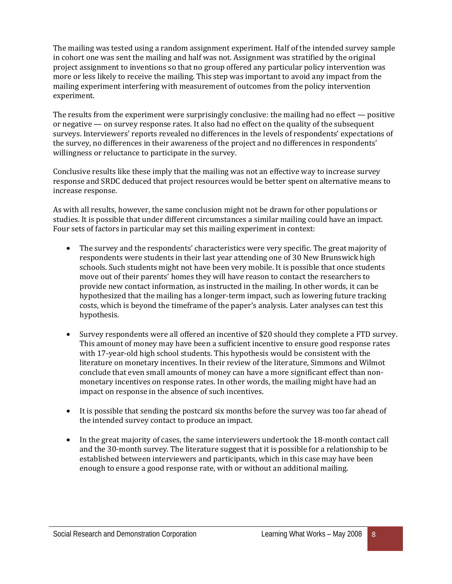The mailing was tested using a random assignment experiment. Half of the intended survey sample in cohort one was sent the mailing and half was not. Assignment was stratified by the original project assignment to inventions so that no group offered any particular policy intervention was more or less likely to receive the mailing. This step was important to avoid any impact from the mailing experiment interfering with measurement of outcomes from the policy intervention experiment.

The results from the experiment were surprisingly conclusive: the mailing had no effect — positive or negative — on survey response rates. It also had no effect on the quality of the subsequent surveys. Interviewers' reports revealed no differences in the levels of respondents' expectations of the survey, no differences in their awareness of the project and no differences in respondents' willingness or reluctance to participate in the survey.

Conclusive results like these imply that the mailing was not an effective way to increase survey response and SRDC deduced that project resources would be better spent on alternative means to increase response.

As with all results, however, the same conclusion might not be drawn for other populations or studies. It is possible that under different circumstances a similar mailing could have an impact. Four sets of factors in particular may set this mailing experiment in context:

- The survey and the respondents' characteristics were very specific. The great majority of respondents were students in their last year attending one of 30 New Brunswick high schools. Such students might not have been very mobile. It is possible that once students move out of their parents' homes they will have reason to contact the researchers to provide new contact information, as instructed in the mailing. In other words, it can be hypothesized that the mailing has a longer-term impact, such as lowering future tracking costs, which is beyond the timeframe of the paper's analysis. Later analyses can test this hypothesis.
- Survey respondents were all offered an incentive of \$20 should they complete a FTD survey. This amount of money may have been a sufficient incentive to ensure good response rates with 17-year-old high school students. This hypothesis would be consistent with the literature on monetary incentives. In their review of the literature, Simmons and Wilmot conclude that even small amounts of money can have a more significant effect than nonmonetary incentives on response rates. In other words, the mailing might have had an impact on response in the absence of such incentives.
- It is possible that sending the postcard six months before the survey was too far ahead of the intended survey contact to produce an impact.
- In the great majority of cases, the same interviewers undertook the 18-month contact call and the 30-month survey. The literature suggest that it is possible for a relationship to be established between interviewers and participants, which in this case may have been enough to ensure a good response rate, with or without an additional mailing.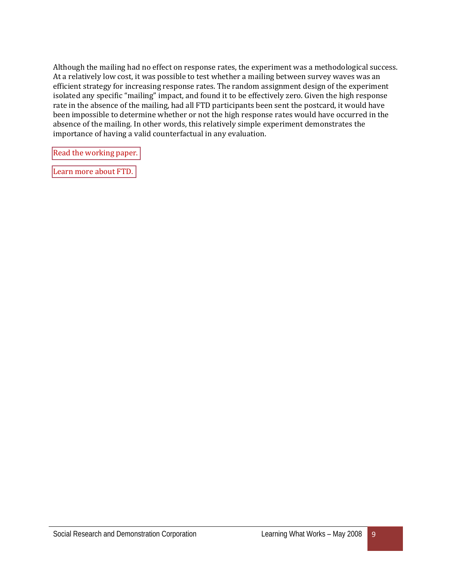Although the mailing had no effect on response rates, the experiment was a methodological success. At a relatively low cost, it was possible to test whether a mailing between survey waves was an efficient strategy for increasing response rates. The random assignment design of the experiment isolated any specific "mailing" impact, and found it to be effectively zero. Given the high response rate in the absence of the mailing, had all FTD participants been sent the postcard, it would have been impossible to determine whether or not the high response rates would have occurred in the absence of the mailing. In other words, this relatively simple experiment demonstrates the importance of having a valid counterfactual in any evaluation.

[Read the working paper.](http://www.srdc.org/uploads/FTD_mailing_experiment.pdf) 

[Learn more about FTD.](http://www.srdc.org/en_what_we_do.asp?id=27148)